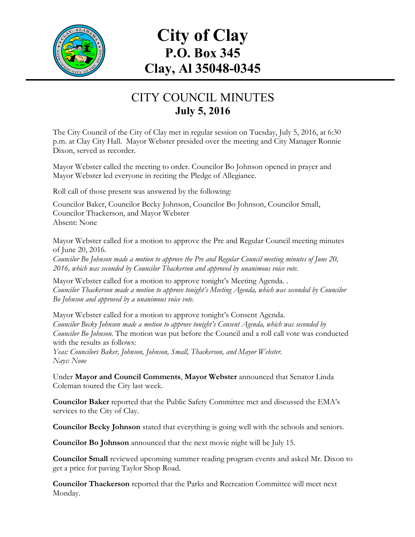

## **City of Clay P.O. Box 345 Clay, Al 35048-0345**

## CITY COUNCIL MINUTES **July 5, 2016**

The City Council of the City of Clay met in regular session on Tuesday, July 5, 2016, at 6:30 p.m. at Clay City Hall. Mayor Webster presided over the meeting and City Manager Ronnie Dixon, served as recorder.

Mayor Webster called the meeting to order. Councilor Bo Johnson opened in prayer and Mayor Webster led everyone in reciting the Pledge of Allegiance.

Roll call of those present was answered by the following:

Councilor Baker, Councilor Becky Johnson, Councilor Bo Johnson, Councilor Small, Councilor Thackerson, and Mayor Webster Absent: None

Mayor Webster called for a motion to approve the Pre and Regular Council meeting minutes of June 20, 2016.

*Councilor Bo Johnson made a motion to approve the Pre and Regular Council meeting minutes of June 20, 2016, which was seconded by Councilor Thackerson and approved by unanimous voice vote.*

Mayor Webster called for a motion to approve tonight's Meeting Agenda. . *Councilor Thackerson made a motion to approve tonight's Meeting Agenda, which was seconded by Councilor Bo Johnson and approved by a unanimous voice vote.*

Mayor Webster called for a motion to approve tonight's Consent Agenda. *Councilor Becky Johnson made a motion to approve tonight's Consent Agenda, which was seconded by Councilor Bo Johnson.* The motion was put before the Council and a roll call vote was conducted with the results as follows:

*Yeas: Councilors Baker, Johnson, Johnson, Small, Thackerson, and Mayor Webster. Nays: None*

Under **Mayor and Council Comments**, **Mayor Webster** announced that Senator Linda Coleman toured the City last week.

**Councilor Baker** reported that the Public Safety Committee met and discussed the EMA's services to the City of Clay.

**Councilor Becky Johnson** stated that everything is going well with the schools and seniors.

**Councilor Bo Johnson** announced that the next movie night will be July 15.

**Councilor Small** reviewed upcoming summer reading program events and asked Mr. Dixon to get a price for paving Taylor Shop Road.

**Councilor Thackerson** reported that the Parks and Recreation Committee will meet next Monday.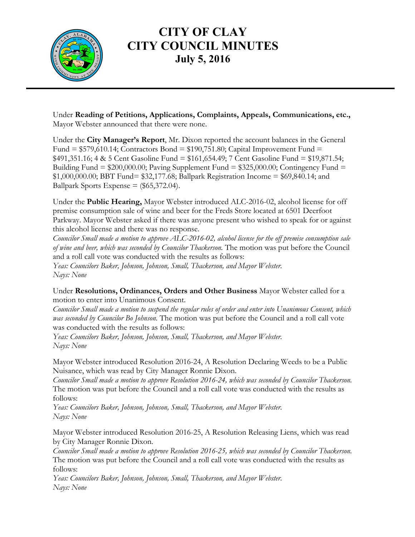

## **CITY OF CLAY CITY COUNCIL MINUTES July 5, 2016**

Under **Reading of Petitions, Applications, Complaints, Appeals, Communications, etc.,** Mayor Webster announced that there were none.

Under the **City Manager's Report**, Mr. Dixon reported the account balances in the General Fund =  $$579,610.14$ ; Contractors Bond =  $$190,751.80$ ; Capital Improvement Fund =  $$491,351.16; 4 & 5 Cent Gasoline Fund = $161,654.49; 7 Cent Gasoline Fund = $19,871.54;$ Building Fund =  $$200,000.00$ ; Paving Supplement Fund =  $$325,000.00$ ; Contingency Fund = \$1,000,000.00; BBT Fund= \$32,177.68; Ballpark Registration Income = \$69,840.14; and Ballpark Sports Expense  $=$  (\$65,372.04).

Under the **Public Hearing,** Mayor Webster introduced ALC-2016-02, alcohol license for off premise consumption sale of wine and beer for the Freds Store located at 6501 Deerfoot Parkway. Mayor Webster asked if there was anyone present who wished to speak for or against this alcohol license and there was no response.

*Councilor Small made a motion to approve ALC-2016-02, alcohol license for the off premise consumption sale of wine and beer, which was seconded by Councilor Thackerson.* The motion was put before the Council and a roll call vote was conducted with the results as follows:

*Yeas: Councilors Baker, Johnson, Johnson, Small, Thackerson, and Mayor Webster. Nays: None*

Under **Resolutions, Ordinances, Orders and Other Business** Mayor Webster called for a motion to enter into Unanimous Consent.

*Councilor Small made a motion to suspend the regular rules of order and enter into Unanimous Consent, which was seconded by Councilor Bo Johnson.* The motion was put before the Council and a roll call vote was conducted with the results as follows:

*Yeas: Councilors Baker, Johnson, Johnson, Small, Thackerson, and Mayor Webster. Nays: None*

Mayor Webster introduced Resolution 2016-24, A Resolution Declaring Weeds to be a Public Nuisance, which was read by City Manager Ronnie Dixon.

*Councilor Small made a motion to approve Resolution 2016-24, which was seconded by Councilor Thackerson.*  The motion was put before the Council and a roll call vote was conducted with the results as follows:

*Yeas: Councilors Baker, Johnson, Johnson, Small, Thackerson, and Mayor Webster. Nays: None*

Mayor Webster introduced Resolution 2016-25, A Resolution Releasing Liens, which was read by City Manager Ronnie Dixon.

*Councilor Small made a motion to approve Resolution 2016-25, which was seconded by Councilor Thackerson.*  The motion was put before the Council and a roll call vote was conducted with the results as follows:

*Yeas: Councilors Baker, Johnson, Johnson, Small, Thackerson, and Mayor Webster. Nays: None*